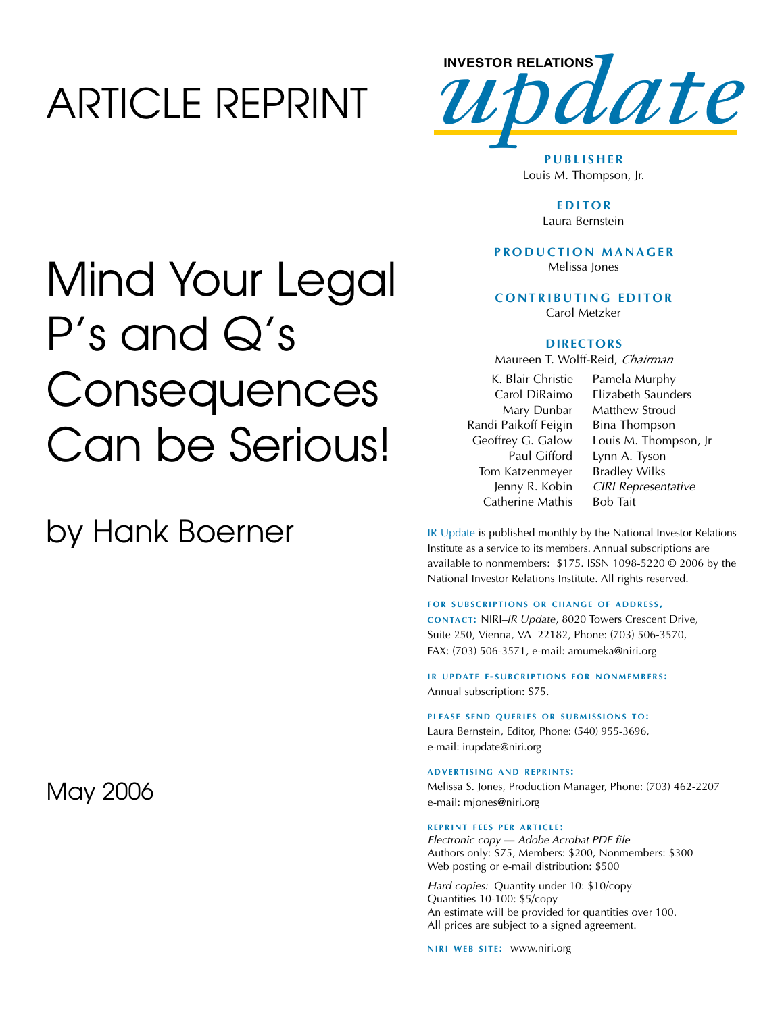## ARTICLE REPRINT



**P U B L I S H E R** Louis M. Thompson, Jr.

> **E D I T O R** Laura Bernstein

#### **P R O D U C T I O N M A N A G E R** Melissa Jones

 $C$  **ONTRIBUTING EDITOR** 

Carol Metzker

#### **D I R E C T O R S**

Maureen T. Wolff-Reid, *Chairman*

K. Blair Christie Carol DiRaimo Mary Dunbar Randi Paikoff Feigin Geoffrey G. Galow Paul Gifford Tom Katzenmeyer Jenny R. Kobin Catherine Mathis Pamela Murphy Elizabeth Saunders Matthew Stroud Bina Thompson Louis M. Thompson, Jr Lynn A. Tyson Bradley Wilks *CIRI Representative*  Bob Tait

IR Update is published monthly by the National Investor Relations Institute as a service to its members. Annual subscriptions are available to nonmembers: \$175. ISSN 1098-5220 © 2006 by the National Investor Relations Institute. All rights reserved.

#### **FOR SUBSCRIPTIONS OR CHANGE OF ADDRESS,**

**C O N TA C T:** NIRI–*IR Update*, 8020 Towers Crescent Drive, Suite 250, Vienna, VA 22182, Phone: (703) 506-3570, FAX: (703) 506-3571, e-mail: amumeka@niri.org

**IR UPDATE E-SUBCRIPTIONS FOR NONMEMBERS:** Annual subscription: \$75.

#### **PLEASE SEND QUERIES OR SUBMISSIONS TO:**

Laura Bernstein, Editor, Phone: (540) 955-3696, e-mail: irupdate@niri.org

#### **A D V E R T I S I N G A N D R E P R I N T S :**

Melissa S. Jones, Production Manager, Phone: (703) 462-2207 e-mail: mjones@niri.org

#### **R E P R I N T F E E S P E R A R T I C L E :**

*Electronic copy* **—** *Adobe Acrobat PDF file*  Authors only: \$75, Members: \$200, Nonmembers: \$300 Web posting or e-mail distribution: \$500

*Hard copies:* Quantity under 10: \$10/copy Quantities 10-100: \$5/copy An estimate will be provided for quantities over 100. All prices are subject to a signed agreement.

**N I R I W E B S I T E :** www.niri.org

## Mind Your Legal P's and Q's **Consequences** Can be Serious!

### by Hank Boerner

May 2006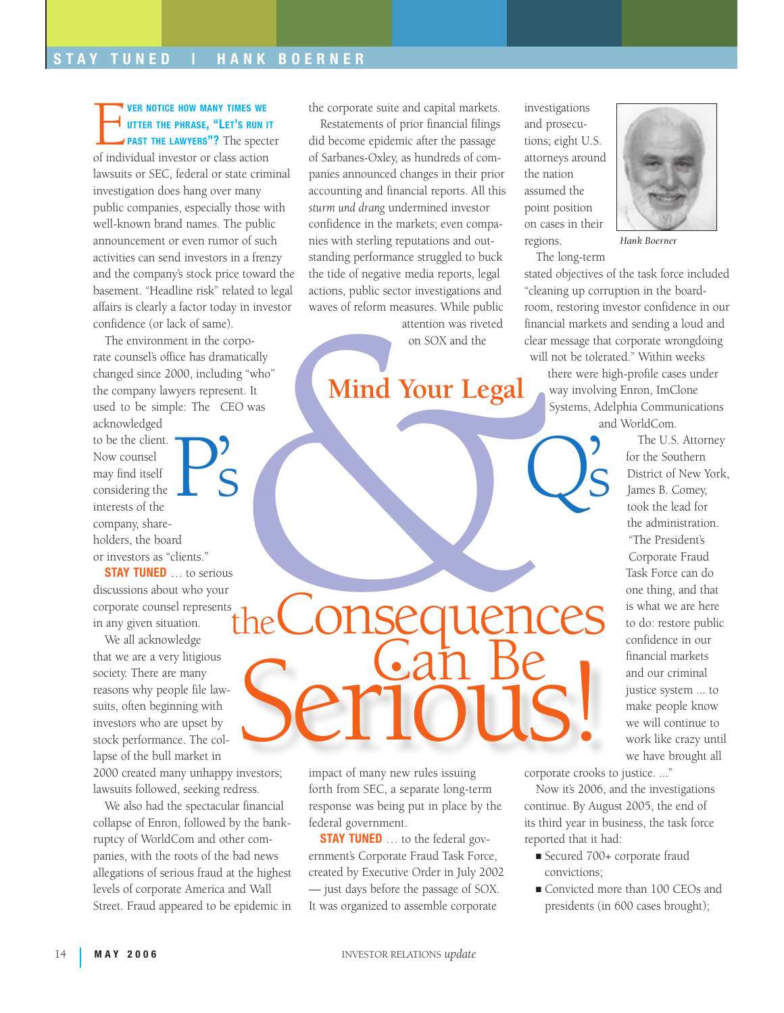#### VER NOTICE HOW MANY TIMES WE<br>UTTER THE PHRASE, "LET'S RUN<br>PAST THE LAWYERS"? The spec utter the phrase, "Let's run it PAST THE LAWYERS"? The specter

of individual investor or class action lawsuits or SEC, federal or state criminal investigation does hang over many public companies, especially those with well-known brand names. The public announcement or even rumor of such activities can send investors in a frenzy and the company's stock price toward the basement. "Headline risk" related to legal affairs is clearly a factor today in investor confidence (or lack of same).

The environment in the corporate counsel's office has dramatically changed since 2000, including "who" the company lawyers represent. It used to be simple: The CEO was

acknowledged to be the client. Now counsel may find itself considering the interests of the company, shareholders, the board or investors as "clients." P's

**STAY TUNED** ... to serious discussions about who your corporate counsel represents in any given situation. theConsequences

We all acknowledge that we are a very litigious society. There are many reasons why people file lawsuits, often beginning with investors who are upset by stock performance. The collapse of the bull market in

2000 created many unhappy investors; lawsuits followed, seeking redress.

We also had the spectacular financial collapse of Enron, followed by the bankruptcy of WorldCom and other companies, with the roots of the bad news allegations of serious fraud at the highest levels of corporate America and Wall Street. Fraud appeared to be epidemic in the corporate suite and capital markets.

Restatements of prior financial filings did become epidemic after the passage of Sarbanes-Oxley, as hundreds of companies announced changes in their prior accounting and financial reports. All this *sturm und drang* undermined investor confidence in the markets; even companies with sterling reputations and outstanding performance struggled to buck the tide of negative media reports, legal actions, public sector investigations and waves of reform measures. While public

attention was riveted on SOX and the

# The Consequent of the Consequent of the Consequent of the Consequent of the Consequent of the Consequent of the Consequent of the Consequent of the Consequent of the Consequent of the Consequent of the Consequent of the Co **Mind Your Legal**

investigations and prosecutions; eight U.S. attorneys around the nation assumed the point position on cases in their regions.

The long-term

stated objectives of the task force included "cleaning up corruption in the boardroom, restoring investor confidence in our financial markets and sending a loud and clear message that corporate wrongdoing will not be tolerated." Within weeks

*Hank Boerner*

there were high-profile cases under way involving Enron, ImClone Systems, Adelphia Communications and WorldCom.

 $\sum_{i=1}^{n}$ 

The U.S. Attorney for the Southern District of New York, James B. Comey, took the lead for the administration. "The President's Corporate Fraud Task Force can do one thing, and that is what we are here to do: restore public confidence in our financial markets and our criminal justice system ... to make people know we will continue to work like crazy until we have brought all

impact of many new rules issuing forth from SEC, a separate long-term response was being put in place by the federal government.

**STAY TUNED** ... to the federal government's Corporate Fraud Task Force, created by Executive Order in July 2002 — just days before the passage of SOX. It was organized to assemble corporate

corporate crooks to justice. ..." Serious!

> Now it's 2006, and the investigations continue. By August 2005, the end of its third year in business, the task force reported that it had:

- Secured 700+ corporate fraud convictions;
- Convicted more than 100 CEOs and presidents (in 600 cases brought);

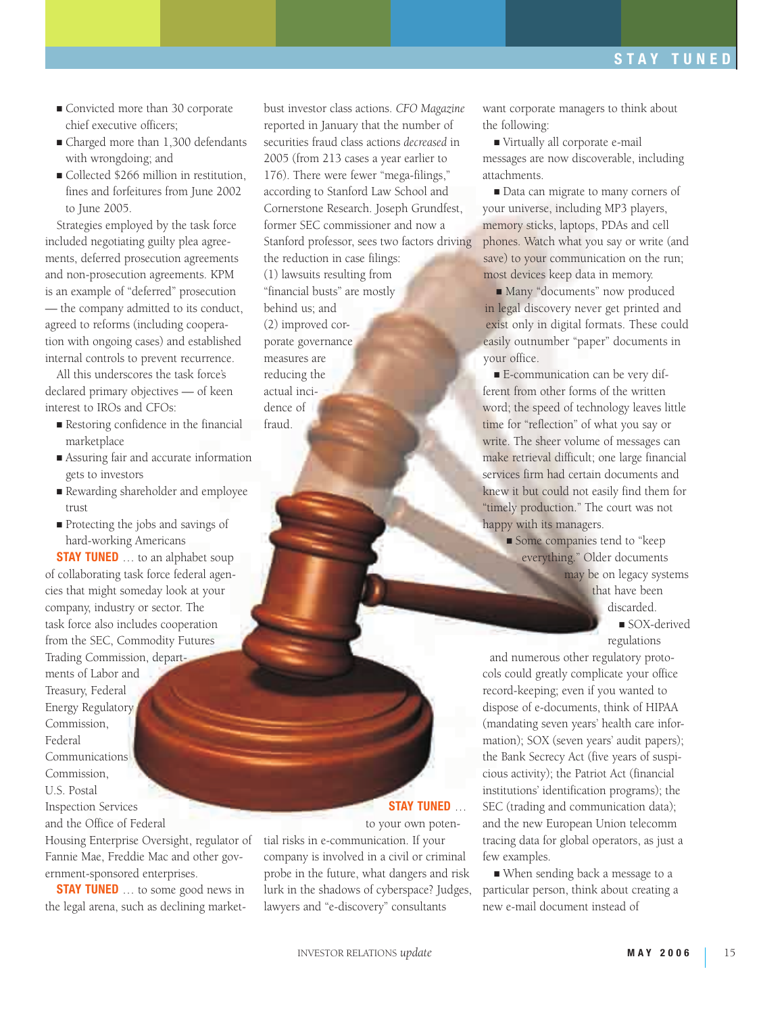- Convicted more than 30 corporate chief executive officers;
- Charged more than 1,300 defendants with wrongdoing; and
- Collected \$266 million in restitution, fines and forfeitures from June 2002 to June 2005.

Strategies employed by the task force included negotiating guilty plea agreements, deferred prosecution agreements and non-prosecution agreements. KPM is an example of "deferred" prosecution — the company admitted to its conduct, agreed to reforms (including cooperation with ongoing cases) and established internal controls to prevent recurrence.

All this underscores the task force's declared primary objectives — of keen interest to IROs and CFOs:

- Restoring confidence in the financial marketplace
- Assuring fair and accurate information gets to investors
- Rewarding shareholder and employee trust
- Protecting the jobs and savings of hard-working Americans

**STAY TUNED** ... to an alphabet soup of collaborating task force federal agencies that might someday look at your company, industry or sector. The task force also includes cooperation from the SEC, Commodity Futures Trading Commission, departments of Labor and Treasury, Federal Energy Regulatory Commission, Federal Communications Commission, U.S. Postal Inspection Services and the Office of Federal

Housing Enterprise Oversight, regulator of Fannie Mae, Freddie Mac and other government-sponsored enterprises.

**STAY TUNED** ... to some good news in the legal arena, such as declining market-

bust investor class actions. *CFO Magazine* reported in January that the number of securities fraud class actions *decreased* in 2005 (from 213 cases a year earlier to 176). There were fewer "mega-filings," according to Stanford Law School and Cornerstone Research. Joseph Grundfest, former SEC commissioner and now a Stanford professor, sees two factors driving the reduction in case filings: (1) lawsuits resulting from "financial busts" are mostly behind us; and (2) improved corporate governance measures are reducing the actual incidence of fraud.

want corporate managers to think about the following:

■ Virtually all corporate e-mail messages are now discoverable, including attachments.

■ Data can migrate to many corners of your universe, including MP3 players, memory sticks, laptops, PDAs and cell phones. Watch what you say or write (and save) to your communication on the run; most devices keep data in memory.

■ Many "documents" now produced in legal discovery never get printed and exist only in digital formats. These could easily outnumber "paper" documents in your office.

■ E-communication can be very different from other forms of the written word; the speed of technology leaves little time for "reflection" of what you say or write. The sheer volume of messages can make retrieval difficult; one large financial services firm had certain documents and knew it but could not easily find them for "timely production." The court was not happy with its managers.

> ■ Some companies tend to "keep everything." Older documents may be on legacy systems that have been discarded.

■ SOX-derived regulations

and numerous other regulatory protocols could greatly complicate your office record-keeping; even if you wanted to dispose of e-documents, think of HIPAA (mandating seven years' health care information); SOX (seven years' audit papers); the Bank Secrecy Act (five years of suspicious activity); the Patriot Act (financial institutions' identification programs); the SEC (trading and communication data); and the new European Union telecomm tracing data for global operators, as just a few examples.

■ When sending back a message to a particular person, think about creating a new e-mail document instead of

tial risks in e-communication. If your company is involved in a civil or criminal probe in the future, what dangers and risk lurk in the shadows of cyberspace? Judges, lawyers and "e-discovery" consultants

Stay Tuned … to your own poten-